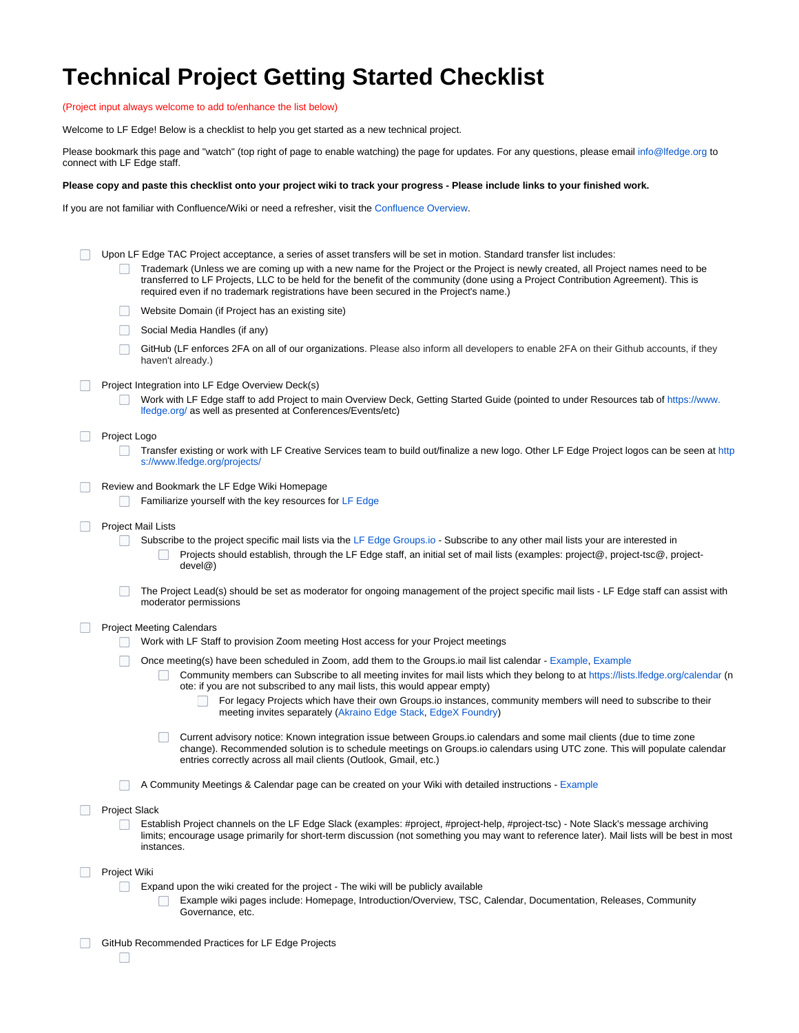## **Technical Project Getting Started Checklist**

(Project input always welcome to add to/enhance the list below)

Welcome to LF Edge! Below is a checklist to help you get started as a new technical project.

Please bookmark this page and "watch" (top right of page to enable watching) the page for updates. For any questions, please email [info@lfedge.org](mailto:info@lfedge.org) to connect with LF Edge staff.

## **Please copy and paste this checklist onto your project wiki to track your progress - Please include links to your finished work.**

If you are not familiar with Confluence/Wiki or need a refresher, visit the [Confluence Overview.](https://wiki.lfedge.org/display/LE/Confluence+Overview)

| Upon LF Edge TAC Project acceptance, a series of asset transfers will be set in motion. Standard transfer list includes:<br>Trademark (Unless we are coming up with a new name for the Project or the Project is newly created, all Project names need to be<br>transferred to LF Projects, LLC to be held for the benefit of the community (done using a Project Contribution Agreement). This is<br>required even if no trademark registrations have been secured in the Project's name.) |
|---------------------------------------------------------------------------------------------------------------------------------------------------------------------------------------------------------------------------------------------------------------------------------------------------------------------------------------------------------------------------------------------------------------------------------------------------------------------------------------------|
| Website Domain (if Project has an existing site)                                                                                                                                                                                                                                                                                                                                                                                                                                            |
| Social Media Handles (if any)                                                                                                                                                                                                                                                                                                                                                                                                                                                               |
| GitHub (LF enforces 2FA on all of our organizations. Please also inform all developers to enable 2FA on their Github accounts, if they<br>haven't already.)                                                                                                                                                                                                                                                                                                                                 |
| Project Integration into LF Edge Overview Deck(s)<br>Work with LF Edge staff to add Project to main Overview Deck, Getting Started Guide (pointed to under Resources tab of https://www.<br>Ifedge.org/ as well as presented at Conferences/Events/etc)                                                                                                                                                                                                                                     |
| Project Logo                                                                                                                                                                                                                                                                                                                                                                                                                                                                                |
| Transfer existing or work with LF Creative Services team to build out/finalize a new logo. Other LF Edge Project logos can be seen at http<br>s://www.lfedge.org/projects/                                                                                                                                                                                                                                                                                                                  |
| Review and Bookmark the LF Edge Wiki Homepage                                                                                                                                                                                                                                                                                                                                                                                                                                               |
| Familiarize yourself with the key resources for LF Edge                                                                                                                                                                                                                                                                                                                                                                                                                                     |
| <b>Project Mail Lists</b>                                                                                                                                                                                                                                                                                                                                                                                                                                                                   |
| Subscribe to the project specific mail lists via the LF Edge Groups.io - Subscribe to any other mail lists your are interested in<br>Projects should establish, through the LF Edge staff, an initial set of mail lists (examples: project@, project-tsc@, project-<br>devel@)                                                                                                                                                                                                              |
| The Project Lead(s) should be set as moderator for ongoing management of the project specific mail lists - LF Edge staff can assist with<br>moderator permissions                                                                                                                                                                                                                                                                                                                           |
| <b>Project Meeting Calendars</b>                                                                                                                                                                                                                                                                                                                                                                                                                                                            |
| Work with LF Staff to provision Zoom meeting Host access for your Project meetings                                                                                                                                                                                                                                                                                                                                                                                                          |
| Once meeting(s) have been scheduled in Zoom, add them to the Groups io mail list calendar - Example, Example                                                                                                                                                                                                                                                                                                                                                                                |
| Community members can Subscribe to all meeting invites for mail lists which they belong to at https://lists.lfedge.org/calendar (n<br>ote: if you are not subscribed to any mail lists, this would appear empty)                                                                                                                                                                                                                                                                            |
| For legacy Projects which have their own Groups.io instances, community members will need to subscribe to their<br>meeting invites separately (Akraino Edge Stack, EdgeX Foundry)                                                                                                                                                                                                                                                                                                           |
| Current advisory notice: Known integration issue between Groups.io calendars and some mail clients (due to time zone<br>change). Recommended solution is to schedule meetings on Groups.io calendars using UTC zone. This will populate calendar<br>entries correctly across all mail clients (Outlook, Gmail, etc.)                                                                                                                                                                        |
| A Community Meetings & Calendar page can be created on your Wiki with detailed instructions - Example                                                                                                                                                                                                                                                                                                                                                                                       |
| <b>Project Slack</b>                                                                                                                                                                                                                                                                                                                                                                                                                                                                        |
| Establish Project channels on the LF Edge Slack (examples: #project, #project-help, #project-tsc) - Note Slack's message archiving<br>limits; encourage usage primarily for short-term discussion (not something you may want to reference later). Mail lists will be best in most<br>instances.                                                                                                                                                                                            |
| Project Wiki                                                                                                                                                                                                                                                                                                                                                                                                                                                                                |
| Expand upon the wiki created for the project - The wiki will be publicly available<br>Example wiki pages include: Homepage, Introduction/Overview, TSC, Calendar, Documentation, Releases, Community<br>Governance, etc.                                                                                                                                                                                                                                                                    |
| GitHub Recommended Practices for LF Edge Projects                                                                                                                                                                                                                                                                                                                                                                                                                                           |
|                                                                                                                                                                                                                                                                                                                                                                                                                                                                                             |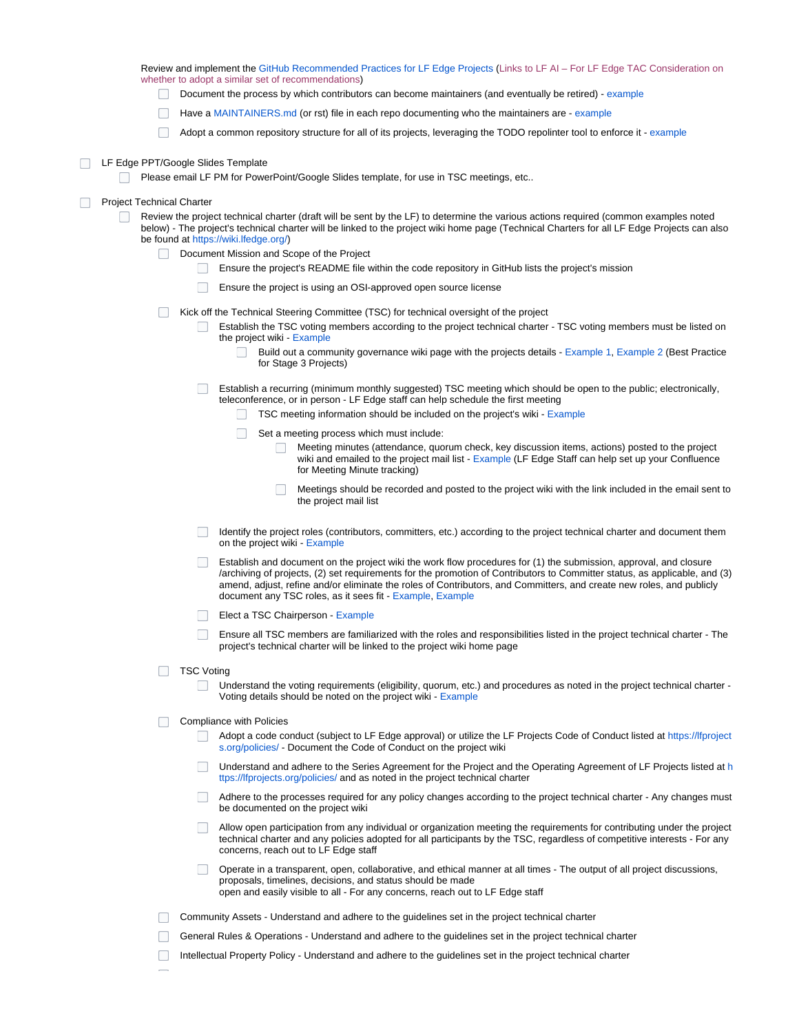Review and implement the [GitHub Recommended Practices for LF Edge Projects](https://github.com/lfai/tac/blob/master/github-recommendations.md) (Links to LF AI – For LF Edge TAC Consideration on whether to adopt a similar set of recommendations)

- Document the process by which contributors can become maintainers (and eventually be retired) - [example](https://hyperledger-fabric.readthedocs.io/en/latest/CONTRIBUTING.html#project-governance)
- Have a [MAINTAINERS.md](http://MAINTAINERS.md) (or rst) file in each repo documenting who the maintainers are [example](https://github.com/hyperledger/fabric/blob/master/MAINTAINERS.md)
- Adopt a common repository structure for all of its projects, leveraging the TODO repolinter tool to enforce it - [example](https://github.com/todogroup/repolinter)

## □ LF Edge PPT/Google Slides Template

Please email LF PM for PowerPoint/Google Slides template, for use in TSC meetings, etc..

## **Project Technical Charter**

- Review the project technical charter (draft will be sent by the LF) to determine the various actions required (common examples noted below) - The project's technical charter will be linked to the project wiki home page (Technical Charters for all LF Edge Projects can also be found at <https://wiki.lfedge.org/>)
	- Document Mission and Scope of the Project
		- Ensure the project's README file within the code repository in GitHub lists the project's mission
		- $\Box$ Ensure the project is using an OSI-approved open source license
	- Kick off the Technical Steering Committee (TSC) for technical oversight of the project
		- Establish the TSC voting members according to the project technical charter TSC voting members must be listed on the project wiki - [Example](https://wiki.akraino.org/pages/viewpage.action?pageId=4456453)
			- Build out a community governance wiki page with the projects details [Example 1,](https://wiki.akraino.org/display/AK/Community+Governance) [Example 2](https://wiki.edgexfoundry.org/display/FA/Technical+Work+in+the+EdgeX+Foundry+Project) (Best Practice for Stage 3 Projects)
		- Establish a recurring (minimum monthly suggested) TSC meeting which should be open to the public; electronically, teleconference, or in person - LF Edge staff can help schedule the first meeting
			- $\Box$  TSC meeting information should be included on the project's wiki Example
			- $\Box$  Set a meeting process which must include:
				- Meeting minutes (attendance, quorum check, key discussion items, actions) posted to the project wiki and emailed to the project mail list - [Example](https://wiki.akraino.org/display/AK/Agendas-Current+and+Upcoming) (LF Edge Staff can help set up your Confluence for Meeting Minute tracking)
				- Meetings should be recorded and posted to the project wiki with the link included in the email sent to  $\mathbf{1}$ the project mail list
		- **The Company** Identify the project roles (contributors, committers, etc.) according to the project technical charter and document them on the project wiki - [Example](https://wiki.edgexfoundry.org/pages/viewpage.action?pageId=21823860)
		- $\Box$  Establish and document on the project wiki the work flow procedures for (1) the submission, approval, and closure /archiving of projects, (2) set requirements for the promotion of Contributors to Committer status, as applicable, and (3) amend, adjust, refine and/or eliminate the roles of Contributors, and Committers, and create new roles, and publicly document any TSC roles, as it sees fit - [Example](https://docs.google.com/document/d/1OUpSmz0yxk2C-K9Lpa8zBu5UYhQpLMngUog61P5-t24/edit), [Example](https://wiki.akraino.org/display/AK/Akraino+Technical+Community+Document)
		- Elect a TSC Chairperson [Example](https://wiki.akraino.org/display/AK/Akraino+Technical+Community+Document#AkrainoTechnicalCommunityDocument-4.4.2.2TSCChairandCo-Chairfunctionalroles)
		- Ensure all TSC members are familiarized with the roles and responsibilities listed in the project technical charter The n. project's technical charter will be linked to the project wiki home page
	- □ TSC Voting
		- Understand the voting requirements (eligibility, quorum, etc.) and procedures as noted in the project technical charter Voting details should be noted on the project wiki - [Example](https://wiki.akraino.org/display/AK/Akraino+Technical+Community+Document#AkrainoTechnicalCommunityDocument-4.4.2.2TSCChairandCo-Chairfunctionalroles)
	- **Compliance with Policies** 
		- Adopt a code conduct (subject to LF Edge approval) or utilize the LF Projects Code of Conduct listed at [https://lfproject](https://lfprojects.org/policies/) [s.org/policies/](https://lfprojects.org/policies/) - Document the Code of Conduct on the project wiki
		- **Understand and ad[h](https://lfprojects.org/policies/)ere to the Series Agreement for the Project and the Operating Agreement of LF Projects listed at h** [ttps://lfprojects.org/policies/](https://lfprojects.org/policies/) and as noted in the project technical charter
		- Adhere to the processes required for any policy changes according to the project technical charter Any changes must be documented on the project wiki
		- Allow open participation from any individual or organization meeting the requirements for contributing under the project  $\Box$ technical charter and any policies adopted for all participants by the TSC, regardless of competitive interests - For any concerns, reach out to LF Edge staff
		- Operate in a transparent, open, collaborative, and ethical manner at all times The output of all project discussions, proposals, timelines, decisions, and status should be made open and easily visible to all - For any concerns, reach out to LF Edge staff
	- Community Assets Understand and adhere to the guidelines set in the project technical charter
	- General Rules & Operations Understand and adhere to the guidelines set in the project technical charter
	- $\Box$ Intellectual Property Policy - Understand and adhere to the guidelines set in the project technical charter
	-